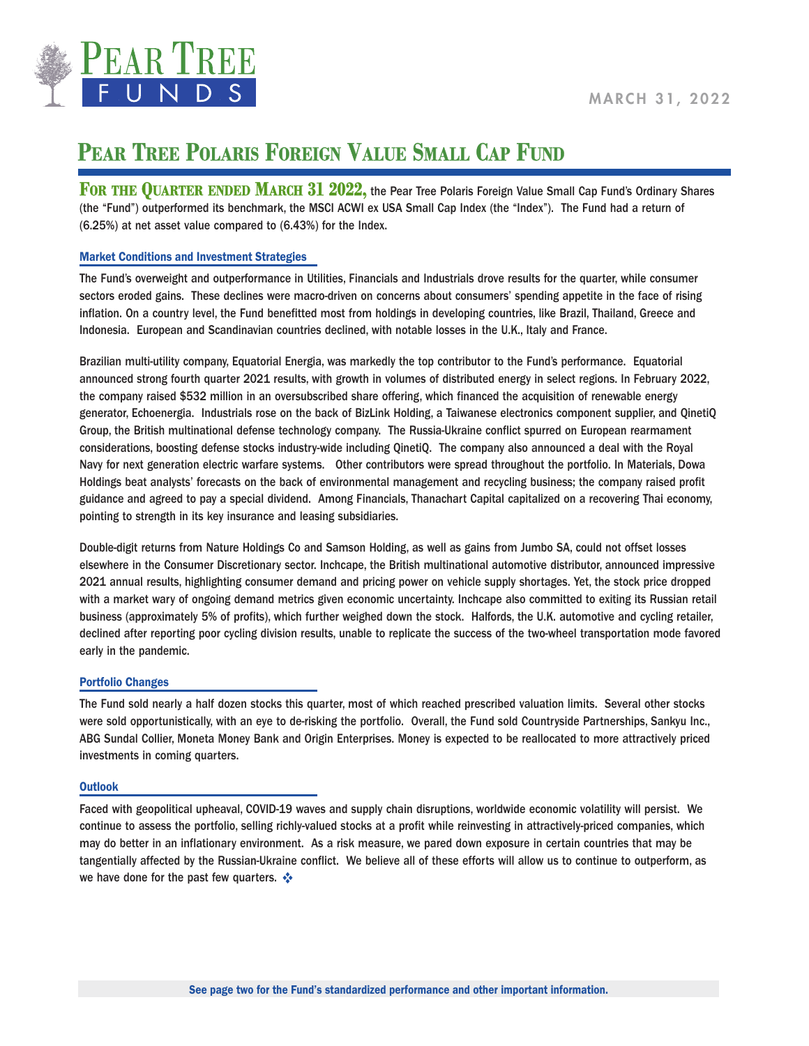

## MARCH 31, 2022

## **PEAR TREE POLARIS FOREIGN VALUE SMALL CAP FUND**

FOR THE QUARTER ENDED MARCH 31 2022, the Pear Tree Polaris Foreign Value Small Cap Fund's Ordinary Shares (the "Fund") outperformed its benchmark, the MSCI ACWI ex USA Small Cap Index (the "Index"). The Fund had a return of (6.25%) at net asset value compared to (6.43%) for the Index.

### Market Conditions and Investment Strategies

The Fund's overweight and outperformance in Utilities, Financials and Industrials drove results for the quarter, while consumer sectors eroded gains. These declines were macro-driven on concerns about consumers' spending appetite in the face of rising inflation. On a country level, the Fund benefitted most from holdings in developing countries, like Brazil, Thailand, Greece and Indonesia. European and Scandinavian countries declined, with notable losses in the U.K., Italy and France.

Brazilian multi-utility company, Equatorial Energia, was markedly the top contributor to the Fund's performance. Equatorial announced strong fourth quarter 2021 results, with growth in volumes of distributed energy in select regions. In February 2022, the company raised \$532 million in an oversubscribed share offering, which financed the acquisition of renewable energy generator, Echoenergia. Industrials rose on the back of BizLink Holding, a Taiwanese electronics component supplier, and QinetiQ Group, the British multinational defense technology company. The Russia-Ukraine conflict spurred on European rearmament considerations, boosting defense stocks industry-wide including QinetiQ. The company also announced a deal with the Royal Navy for next generation electric warfare systems. Other contributors were spread throughout the portfolio. In Materials, Dowa Holdings beat analysts' forecasts on the back of environmental management and recycling business; the company raised profit guidance and agreed to pay a special dividend. Among Financials, Thanachart Capital capitalized on a recovering Thai economy, pointing to strength in its key insurance and leasing subsidiaries.

Double-digit returns from Nature Holdings Co and Samson Holding, as well as gains from Jumbo SA, could not offset losses elsewhere in the Consumer Discretionary sector. Inchcape, the British multinational automotive distributor, announced impressive 2021 annual results, highlighting consumer demand and pricing power on vehicle supply shortages. Yet, the stock price dropped with a market wary of ongoing demand metrics given economic uncertainty. Inchcape also committed to exiting its Russian retail business (approximately 5% of profits), which further weighed down the stock. Halfords, the U.K. automotive and cycling retailer, declined after reporting poor cycling division results, unable to replicate the success of the two-wheel transportation mode favored early in the pandemic.

### Portfolio Changes

The Fund sold nearly a half dozen stocks this quarter, most of which reached prescribed valuation limits. Several other stocks were sold opportunistically, with an eye to de-risking the portfolio. Overall, the Fund sold Countryside Partnerships, Sankyu Inc., ABG Sundal Collier, Moneta Money Bank and Origin Enterprises. Money is expected to be reallocated to more attractively priced investments in coming quarters.

#### **Outlook**

Faced with geopolitical upheaval, COVID-19 waves and supply chain disruptions, worldwide economic volatility will persist. We continue to assess the portfolio, selling richly-valued stocks at a profit while reinvesting in attractively-priced companies, which may do better in an inflationary environment. As a risk measure, we pared down exposure in certain countries that may be tangentially affected by the Russian-Ukraine conflict. We believe all of these efforts will allow us to continue to outperform, as we have done for the past few quarters. ❖